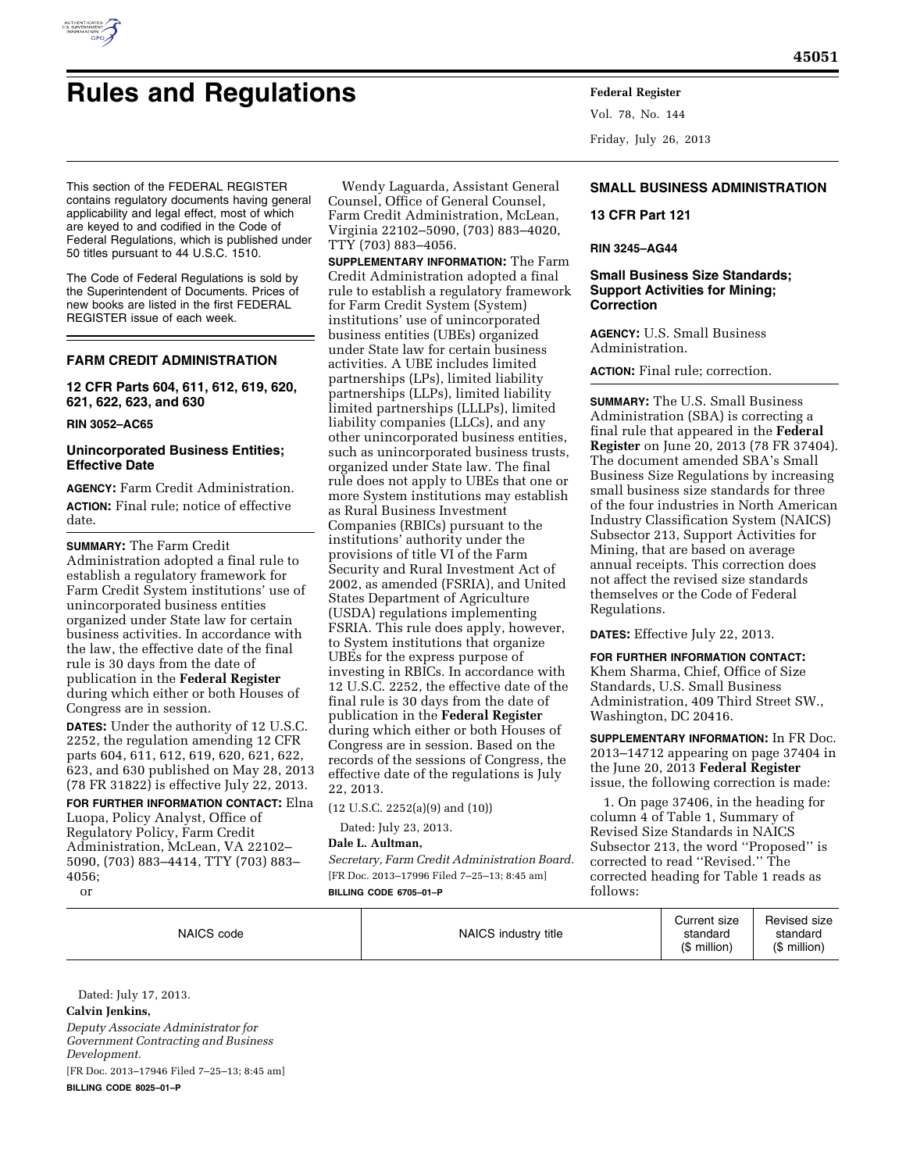

# **Rules and Regulations Federal Register**

This section of the FEDERAL REGISTER contains regulatory documents having general applicability and legal effect, most of which are keyed to and codified in the Code of Federal Regulations, which is published under 50 titles pursuant to 44 U.S.C. 1510.

The Code of Federal Regulations is sold by the Superintendent of Documents. Prices of new books are listed in the first FEDERAL REGISTER issue of each week.

# **FARM CREDIT ADMINISTRATION**

**12 CFR Parts 604, 611, 612, 619, 620, 621, 622, 623, and 630** 

# **RIN 3052–AC65**

## **Unincorporated Business Entities; Effective Date**

**AGENCY:** Farm Credit Administration. **ACTION:** Final rule; notice of effective date.

**SUMMARY:** The Farm Credit Administration adopted a final rule to establish a regulatory framework for Farm Credit System institutions' use of unincorporated business entities organized under State law for certain business activities. In accordance with the law, the effective date of the final rule is 30 days from the date of publication in the **Federal Register**  during which either or both Houses of Congress are in session.

**DATES:** Under the authority of 12 U.S.C. 2252, the regulation amending 12 CFR parts 604, 611, 612, 619, 620, 621, 622, 623, and 630 published on May 28, 2013 (78 FR 31822) is effective July 22, 2013.

**FOR FURTHER INFORMATION CONTACT:** Elna Luopa, Policy Analyst, Office of Regulatory Policy, Farm Credit Administration, McLean, VA 22102– 5090, (703) 883–4414, TTY (703) 883– 4056;

or

Wendy Laguarda, Assistant General Counsel, Office of General Counsel, Farm Credit Administration, McLean, Virginia 22102–5090, (703) 883–4020, TTY (703) 883–4056.

**SUPPLEMENTARY INFORMATION:** The Farm Credit Administration adopted a final rule to establish a regulatory framework for Farm Credit System (System) institutions' use of unincorporated business entities (UBEs) organized under State law for certain business activities. A UBE includes limited partnerships (LPs), limited liability partnerships (LLPs), limited liability limited partnerships (LLLPs), limited liability companies (LLCs), and any other unincorporated business entities, such as unincorporated business trusts, organized under State law. The final rule does not apply to UBEs that one or more System institutions may establish as Rural Business Investment Companies (RBICs) pursuant to the institutions' authority under the provisions of title VI of the Farm Security and Rural Investment Act of 2002, as amended (FSRIA), and United States Department of Agriculture (USDA) regulations implementing FSRIA. This rule does apply, however, to System institutions that organize UBEs for the express purpose of investing in RBICs. In accordance with 12 U.S.C. 2252, the effective date of the final rule is 30 days from the date of publication in the **Federal Register**  during which either or both Houses of Congress are in session. Based on the records of the sessions of Congress, the effective date of the regulations is July 22, 2013.

(12 U.S.C. 2252(a)(9) and (10))

Dated: July 23, 2013.

#### **Dale L. Aultman,**

*Secretary, Farm Credit Administration Board.*  [FR Doc. 2013–17996 Filed 7–25–13; 8:45 am] **BILLING CODE 6705–01–P** 

Vol. 78, No. 144 Friday, July 26, 2013

# **SMALL BUSINESS ADMINISTRATION**

**45051** 

## **13 CFR Part 121**

#### **RIN 3245–AG44**

# **Small Business Size Standards; Support Activities for Mining; Correction**

**AGENCY:** U.S. Small Business Administration.

**ACTION:** Final rule; correction.

**SUMMARY:** The U.S. Small Business Administration (SBA) is correcting a final rule that appeared in the **Federal Register** on June 20, 2013 (78 FR 37404). The document amended SBA's Small Business Size Regulations by increasing small business size standards for three of the four industries in North American Industry Classification System (NAICS) Subsector 213, Support Activities for Mining, that are based on average annual receipts. This correction does not affect the revised size standards themselves or the Code of Federal Regulations.

**DATES:** Effective July 22, 2013.

**FOR FURTHER INFORMATION CONTACT:**  Khem Sharma, Chief, Office of Size Standards, U.S. Small Business Administration, 409 Third Street SW., Washington, DC 20416.

**SUPPLEMENTARY INFORMATION:** In FR Doc. 2013–14712 appearing on page 37404 in the June 20, 2013 **Federal Register**  issue, the following correction is made:

1. On page 37406, in the heading for column 4 of Table 1, Summary of Revised Size Standards in NAICS Subsector 213, the word "Proposed" is corrected to read ''Revised.'' The corrected heading for Table 1 reads as follows:

|  |  | NAICS code |  |
|--|--|------------|--|
|--|--|------------|--|

NAICS industry title

Dated: July 17, 2013.

#### **Calvin Jenkins,**

*Deputy Associate Administrator for Government Contracting and Business Development.* 

[FR Doc. 2013–17946 Filed 7–25–13; 8:45 am] **BILLING CODE 8025–01–P**